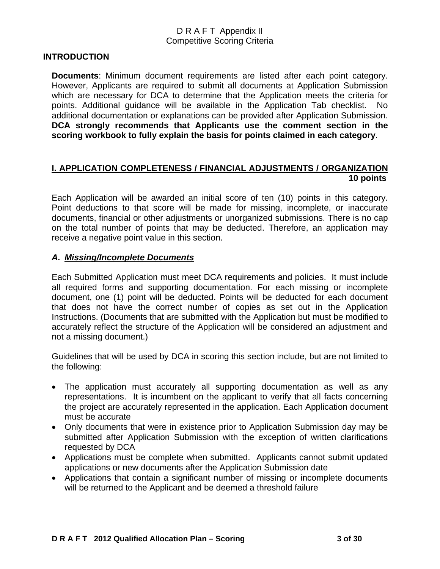#### **INTRODUCTION**

**Documents**: Minimum document requirements are listed after each point category. However, Applicants are required to submit all documents at Application Submission which are necessary for DCA to determine that the Application meets the criteria for points. Additional guidance will be available in the Application Tab checklist. No additional documentation or explanations can be provided after Application Submission. **DCA strongly recommends that Applicants use the comment section in the scoring workbook to fully explain the basis for points claimed in each category**.

#### **I. APPLICATION COMPLETENESS / FINANCIAL ADJUSTMENTS / ORGANIZATION 10 points**

Each Application will be awarded an initial score of ten (10) points in this category. Point deductions to that score will be made for missing, incomplete, or inaccurate documents, financial or other adjustments or unorganized submissions. There is no cap on the total number of points that may be deducted. Therefore, an application may receive a negative point value in this section.

#### *A. Missing/Incomplete Documents*

Each Submitted Application must meet DCA requirements and policies. It must include all required forms and supporting documentation. For each missing or incomplete document, one (1) point will be deducted. Points will be deducted for each document that does not have the correct number of copies as set out in the Application Instructions. (Documents that are submitted with the Application but must be modified to accurately reflect the structure of the Application will be considered an adjustment and not a missing document.)

Guidelines that will be used by DCA in scoring this section include, but are not limited to the following:

- The application must accurately all supporting documentation as well as any representations. It is incumbent on the applicant to verify that all facts concerning the project are accurately represented in the application. Each Application document must be accurate
- Only documents that were in existence prior to Application Submission day may be submitted after Application Submission with the exception of written clarifications requested by DCA
- Applications must be complete when submitted. Applicants cannot submit updated applications or new documents after the Application Submission date
- Applications that contain a significant number of missing or incomplete documents will be returned to the Applicant and be deemed a threshold failure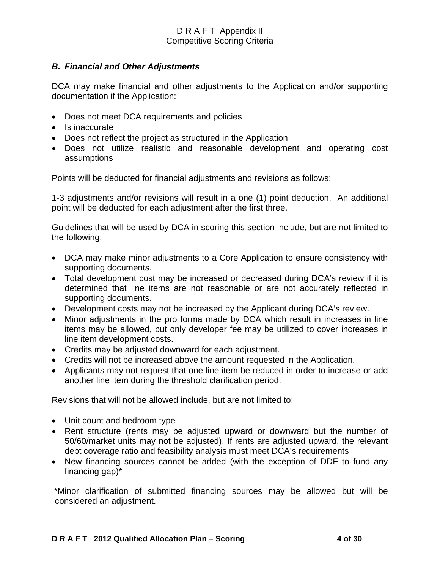## *B. Financial and Other Adjustments*

DCA may make financial and other adjustments to the Application and/or supporting documentation if the Application:

- Does not meet DCA requirements and policies
- Is inaccurate
- Does not reflect the project as structured in the Application
- Does not utilize realistic and reasonable development and operating cost assumptions

Points will be deducted for financial adjustments and revisions as follows:

1-3 adjustments and/or revisions will result in a one (1) point deduction. An additional point will be deducted for each adjustment after the first three.

Guidelines that will be used by DCA in scoring this section include, but are not limited to the following:

- DCA may make minor adjustments to a Core Application to ensure consistency with supporting documents.
- Total development cost may be increased or decreased during DCA's review if it is determined that line items are not reasonable or are not accurately reflected in supporting documents.
- Development costs may not be increased by the Applicant during DCA's review.
- Minor adjustments in the pro forma made by DCA which result in increases in line items may be allowed, but only developer fee may be utilized to cover increases in line item development costs.
- Credits may be adjusted downward for each adjustment.
- Credits will not be increased above the amount requested in the Application.
- Applicants may not request that one line item be reduced in order to increase or add another line item during the threshold clarification period.

Revisions that will not be allowed include, but are not limited to:

- Unit count and bedroom type
- Rent structure (rents may be adjusted upward or downward but the number of 50/60/market units may not be adjusted). If rents are adjusted upward, the relevant debt coverage ratio and feasibility analysis must meet DCA's requirements
- New financing sources cannot be added (with the exception of DDF to fund any financing gap)\*

 \*Minor clarification of submitted financing sources may be allowed but will be considered an adjustment.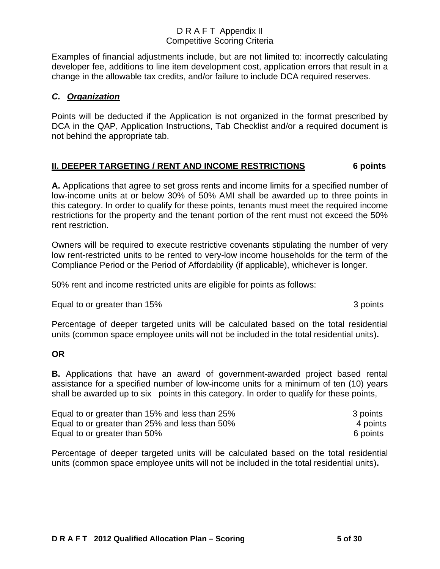Examples of financial adjustments include, but are not limited to: incorrectly calculating developer fee, additions to line item development cost, application errors that result in a change in the allowable tax credits, and/or failure to include DCA required reserves.

## *C. Organization*

Points will be deducted if the Application is not organized in the format prescribed by DCA in the QAP, Application Instructions, Tab Checklist and/or a required document is not behind the appropriate tab.

## **II. DEEPER TARGETING / RENT AND INCOME RESTRICTIONS 6 points**

**A.** Applications that agree to set gross rents and income limits for a specified number of low-income units at or below 30% of 50% AMI shall be awarded up to three points in this category. In order to qualify for these points, tenants must meet the required income restrictions for the property and the tenant portion of the rent must not exceed the 50% rent restriction.

Owners will be required to execute restrictive covenants stipulating the number of very low rent-restricted units to be rented to very-low income households for the term of the Compliance Period or the Period of Affordability (if applicable), whichever is longer.

50% rent and income restricted units are eligible for points as follows:

Equal to or greater than 15% 3 points

Percentage of deeper targeted units will be calculated based on the total residential units (common space employee units will not be included in the total residential units)**.**

#### **OR**

**B.** Applications that have an award of government-awarded project based rental assistance for a specified number of low-income units for a minimum of ten (10) years shall be awarded up to six points in this category. In order to qualify for these points,

| Equal to or greater than 15% and less than 25% | 3 points |
|------------------------------------------------|----------|
| Equal to or greater than 25% and less than 50% | 4 points |
| Equal to or greater than 50%                   | 6 points |

Percentage of deeper targeted units will be calculated based on the total residential units (common space employee units will not be included in the total residential units)**.**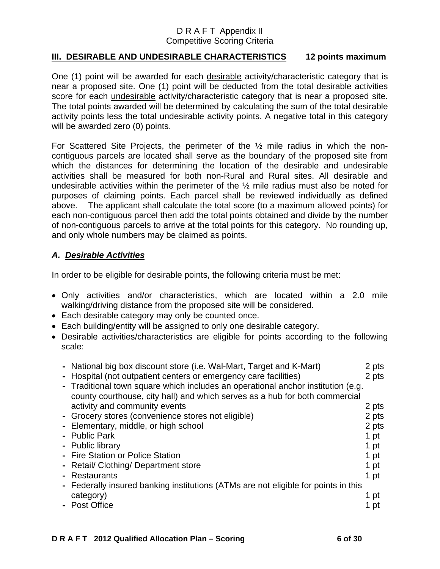## **III. DESIRABLE AND UNDESIRABLE CHARACTERISTICS 12 points maximum**

One (1) point will be awarded for each desirable activity/characteristic category that is near a proposed site. One (1) point will be deducted from the total desirable activities score for each undesirable activity/characteristic category that is near a proposed site. The total points awarded will be determined by calculating the sum of the total desirable activity points less the total undesirable activity points. A negative total in this category will be awarded zero (0) points.

For Scattered Site Projects, the perimeter of the ½ mile radius in which the noncontiguous parcels are located shall serve as the boundary of the proposed site from which the distances for determining the location of the desirable and undesirable activities shall be measured for both non-Rural and Rural sites. All desirable and undesirable activities within the perimeter of the ½ mile radius must also be noted for purposes of claiming points. Each parcel shall be reviewed individually as defined above. The applicant shall calculate the total score (to a maximum allowed points) for each non-contiguous parcel then add the total points obtained and divide by the number of non-contiguous parcels to arrive at the total points for this category. No rounding up, and only whole numbers may be claimed as points.

## *A. Desirable Activities*

In order to be eligible for desirable points, the following criteria must be met:

- Only activities and/or characteristics, which are located within a 2.0 mile walking/driving distance from the proposed site will be considered.
- Each desirable category may only be counted once.
- Each building/entity will be assigned to only one desirable category.
- Desirable activities/characteristics are eligible for points according to the following scale:

| - National big box discount store (i.e. Wal-Mart, Target and K-Mart)               | 2 pts |
|------------------------------------------------------------------------------------|-------|
| - Hospital (not outpatient centers or emergency care facilities)                   | 2 pts |
| - Traditional town square which includes an operational anchor institution (e.g.   |       |
| county courthouse, city hall) and which serves as a hub for both commercial        |       |
| activity and community events                                                      | 2 pts |
| - Grocery stores (convenience stores not eligible)                                 | 2 pts |
| - Elementary, middle, or high school                                               | 2 pts |
| - Public Park                                                                      | 1 pt  |
| - Public library                                                                   | 1 pt  |
| - Fire Station or Police Station                                                   | 1 pt  |
| - Retail/ Clothing/ Department store                                               | 1 pt  |
| - Restaurants                                                                      | 1 pt  |
| - Federally insured banking institutions (ATMs are not eligible for points in this |       |
| category)                                                                          | 1 pt  |
| - Post Office                                                                      | 1 pt  |
|                                                                                    |       |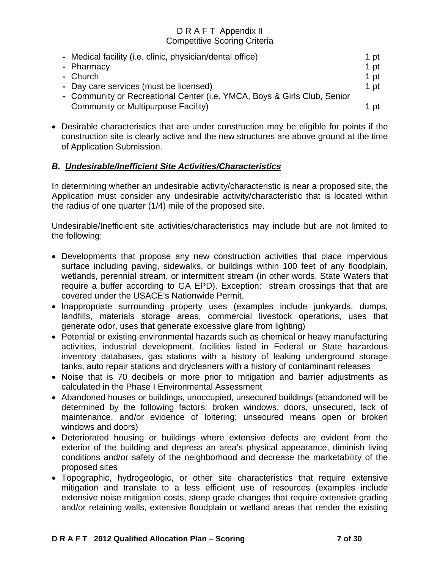| - Medical facility (i.e. clinic, physician/dental office)                | 1 pt |
|--------------------------------------------------------------------------|------|
| - Pharmacy                                                               | 1 pt |
| - Church                                                                 | 1 pt |
| - Day care services (must be licensed)                                   | 1 pt |
| - Community or Recreational Center (i.e. YMCA, Boys & Girls Club, Senior |      |
| Community or Multipurpose Facility)                                      | 1 pt |

• Desirable characteristics that are under construction may be eligible for points if the construction site is clearly active and the new structures are above ground at the time of Application Submission.

## *B. Undesirable/Inefficient Site Activities/Characteristics*

In determining whether an undesirable activity/characteristic is near a proposed site, the Application must consider any undesirable activity/characteristic that is located within the radius of one quarter (1/4) mile of the proposed site.

Undesirable/Inefficient site activities/characteristics may include but are not limited to the following:

- Developments that propose any new construction activities that place impervious surface including paving, sidewalks, or buildings within 100 feet of any floodplain, wetlands, perennial stream, or intermittent stream (in other words, State Waters that require a buffer according to GA EPD). Exception: stream crossings that that are covered under the USACE's Nationwide Permit.
- Inappropriate surrounding property uses (examples include junkyards, dumps, landfills, materials storage areas, commercial livestock operations, uses that generate odor, uses that generate excessive glare from lighting)
- Potential or existing environmental hazards such as chemical or heavy manufacturing activities, industrial development, facilities listed in Federal or State hazardous inventory databases, gas stations with a history of leaking underground storage tanks, auto repair stations and drycleaners with a history of contaminant releases
- Noise that is 70 decibels or more prior to mitigation and barrier adjustments as calculated in the Phase I Environmental Assessment
- Abandoned houses or buildings, unoccupied, unsecured buildings (abandoned will be determined by the following factors: broken windows, doors, unsecured, lack of maintenance, and/or evidence of loitering; unsecured means open or broken windows and doors)
- Deteriorated housing or buildings where extensive defects are evident from the exterior of the building and depress an area's physical appearance, diminish living conditions and/or safety of the neighborhood and decrease the marketability of the proposed sites
- Topographic, hydrogeologic, or other site characteristics that require extensive mitigation and translate to a less efficient use of resources (examples include extensive noise mitigation costs, steep grade changes that require extensive grading and/or retaining walls, extensive floodplain or wetland areas that render the existing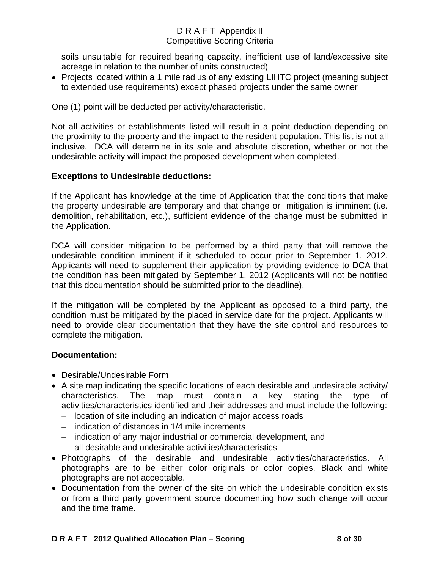soils unsuitable for required bearing capacity, inefficient use of land/excessive site acreage in relation to the number of units constructed)

• Projects located within a 1 mile radius of any existing LIHTC project (meaning subject to extended use requirements) except phased projects under the same owner

One (1) point will be deducted per activity/characteristic.

Not all activities or establishments listed will result in a point deduction depending on the proximity to the property and the impact to the resident population. This list is not all inclusive. DCA will determine in its sole and absolute discretion, whether or not the undesirable activity will impact the proposed development when completed.

## **Exceptions to Undesirable deductions:**

If the Applicant has knowledge at the time of Application that the conditions that make the property undesirable are temporary and that change or mitigation is imminent (i.e. demolition, rehabilitation, etc.), sufficient evidence of the change must be submitted in the Application.

DCA will consider mitigation to be performed by a third party that will remove the undesirable condition imminent if it scheduled to occur prior to September 1, 2012. Applicants will need to supplement their application by providing evidence to DCA that the condition has been mitigated by September 1, 2012 (Applicants will not be notified that this documentation should be submitted prior to the deadline).

If the mitigation will be completed by the Applicant as opposed to a third party, the condition must be mitigated by the placed in service date for the project. Applicants will need to provide clear documentation that they have the site control and resources to complete the mitigation.

## **Documentation:**

- Desirable/Undesirable Form
- A site map indicating the specific locations of each desirable and undesirable activity/ characteristics. The map must contain a key stating the type of activities/characteristics identified and their addresses and must include the following:
	- − location of site including an indication of major access roads
	- − indication of distances in 1/4 mile increments
	- − indication of any major industrial or commercial development, and
	- − all desirable and undesirable activities/characteristics
- Photographs of the desirable and undesirable activities/characteristics. All photographs are to be either color originals or color copies. Black and white photographs are not acceptable.
- Documentation from the owner of the site on which the undesirable condition exists or from a third party government source documenting how such change will occur and the time frame.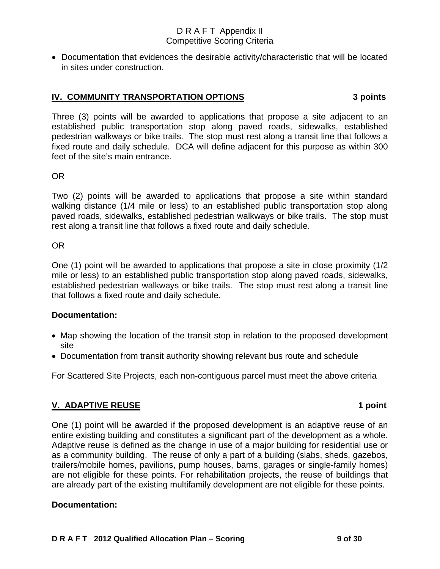• Documentation that evidences the desirable activity/characteristic that will be located in sites under construction.

#### **IV. COMMUNITY TRANSPORTATION OPTIONS****3 points**

Three (3) points will be awarded to applications that propose a site adjacent to an established public transportation stop along paved roads, sidewalks, established pedestrian walkways or bike trails. The stop must rest along a transit line that follows a fixed route and daily schedule. DCA will define adjacent for this purpose as within 300 feet of the site's main entrance.

#### OR

Two (2) points will be awarded to applications that propose a site within standard walking distance (1/4 mile or less) to an established public transportation stop along paved roads, sidewalks, established pedestrian walkways or bike trails. The stop must rest along a transit line that follows a fixed route and daily schedule.

#### OR

One (1) point will be awarded to applications that propose a site in close proximity (1/2 mile or less) to an established public transportation stop along paved roads, sidewalks, established pedestrian walkways or bike trails. The stop must rest along a transit line that follows a fixed route and daily schedule.

## **Documentation:**

- Map showing the location of the transit stop in relation to the proposed development site
- Documentation from transit authority showing relevant bus route and schedule

For Scattered Site Projects, each non-contiguous parcel must meet the above criteria

## **V. ADAPTIVE REUSE** 1 **point**

One (1) point will be awarded if the proposed development is an adaptive reuse of an entire existing building and constitutes a significant part of the development as a whole. Adaptive reuse is defined as the change in use of a major building for residential use or as a community building. The reuse of only a part of a building (slabs, sheds, gazebos, trailers/mobile homes, pavilions, pump houses, barns, garages or single-family homes) are not eligible for these points. For rehabilitation projects, the reuse of buildings that are already part of the existing multifamily development are not eligible for these points.

## **Documentation:**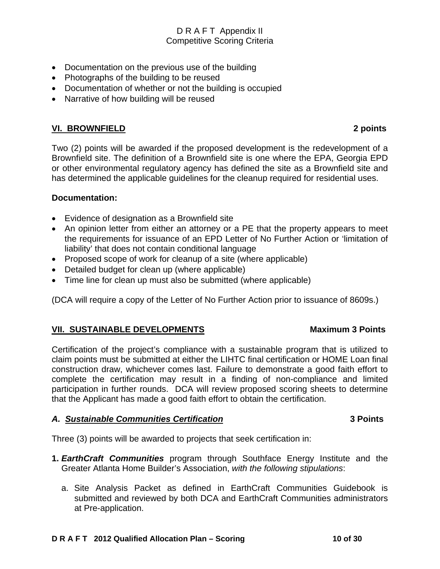- Documentation on the previous use of the building
- Photographs of the building to be reused
- Documentation of whether or not the building is occupied
- Narrative of how building will be reused

## **VI. BROWNFIELD 2 points**

Two (2) points will be awarded if the proposed development is the redevelopment of a Brownfield site. The definition of a Brownfield site is one where the EPA, Georgia EPD or other environmental regulatory agency has defined the site as a Brownfield site and has determined the applicable guidelines for the cleanup required for residential uses.

#### **Documentation:**

- Evidence of designation as a Brownfield site
- An opinion letter from either an attorney or a PE that the property appears to meet the requirements for issuance of an EPD Letter of No Further Action or 'limitation of liability' that does not contain conditional language
- Proposed scope of work for cleanup of a site (where applicable)
- Detailed budget for clean up (where applicable)
- Time line for clean up must also be submitted (where applicable)

(DCA will require a copy of the Letter of No Further Action prior to issuance of 8609s.)

## VII. SUSTAINABLE DEVELOPMENTS Maximum 3 Points

#### Certification of the project's compliance with a sustainable program that is utilized to claim points must be submitted at either the LIHTC final certification or HOME Loan final construction draw, whichever comes last. Failure to demonstrate a good faith effort to complete the certification may result in a finding of non-compliance and limited participation in further rounds. DCA will review proposed scoring sheets to determine that the Applicant has made a good faith effort to obtain the certification.

## *A. Sustainable Communities Certification* **3 Points**

Three (3) points will be awarded to projects that seek certification in:

- **1.** *EarthCraft Communities* program through Southface Energy Institute and the Greater Atlanta Home Builder's Association, *with the following stipulations*:
	- a. Site Analysis Packet as defined in EarthCraft Communities Guidebook is submitted and reviewed by both DCA and EarthCraft Communities administrators at Pre-application.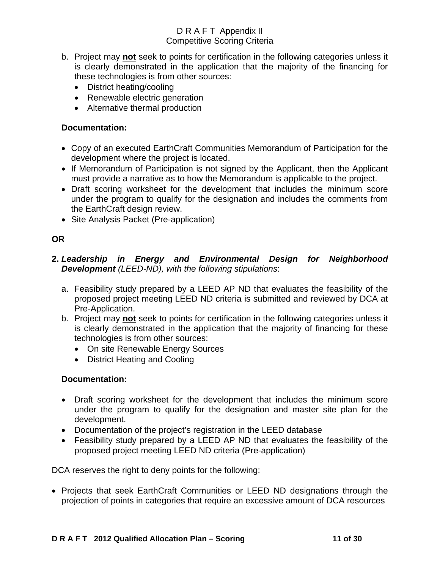- b. Project may **not** seek to points for certification in the following categories unless it is clearly demonstrated in the application that the majority of the financing for these technologies is from other sources:
	- District heating/cooling
	- Renewable electric generation
	- Alternative thermal production

## **Documentation:**

- Copy of an executed EarthCraft Communities Memorandum of Participation for the development where the project is located.
- If Memorandum of Participation is not signed by the Applicant, then the Applicant must provide a narrative as to how the Memorandum is applicable to the project.
- Draft scoring worksheet for the development that includes the minimum score under the program to qualify for the designation and includes the comments from the EarthCraft design review.
- Site Analysis Packet (Pre-application)

## **OR**

## **2.** *Leadership in Energy and Environmental Design for Neighborhood Development (LEED-ND), with the following stipulations*:

- a. Feasibility study prepared by a LEED AP ND that evaluates the feasibility of the proposed project meeting LEED ND criteria is submitted and reviewed by DCA at Pre-Application.
- b. Project may **not** seek to points for certification in the following categories unless it is clearly demonstrated in the application that the majority of financing for these technologies is from other sources:
	- On site Renewable Energy Sources
	- District Heating and Cooling

## **Documentation:**

- Draft scoring worksheet for the development that includes the minimum score under the program to qualify for the designation and master site plan for the development.
- Documentation of the project's registration in the LEED database
- Feasibility study prepared by a LEED AP ND that evaluates the feasibility of the proposed project meeting LEED ND criteria (Pre-application)

DCA reserves the right to deny points for the following:

• Projects that seek EarthCraft Communities or LEED ND designations through the projection of points in categories that require an excessive amount of DCA resources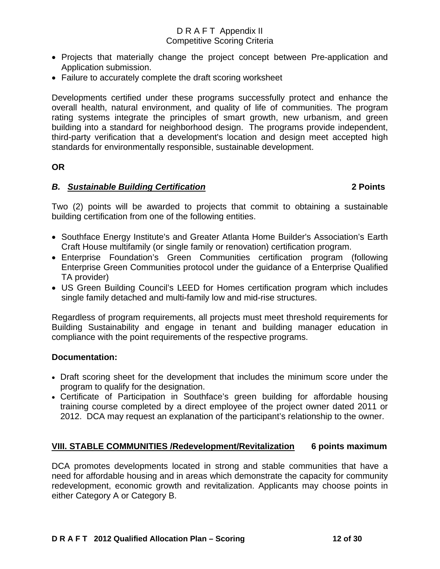- Projects that materially change the project concept between Pre-application and Application submission.
- Failure to accurately complete the draft scoring worksheet

Developments certified under these programs successfully protect and enhance the overall health, natural environment, and quality of life of communities. The program rating systems integrate the principles of smart growth, new urbanism, and green building into a standard for neighborhood design. The programs provide independent, third-party verification that a development's location and design meet accepted high standards for environmentally responsible, sustainable development.

## **OR**

## *B. Sustainable Building Certification* **2 Points**

Two (2) points will be awarded to projects that commit to obtaining a sustainable building certification from one of the following entities.

- Southface Energy Institute's and Greater Atlanta Home Builder's Association's Earth Craft House multifamily (or single family or renovation) certification program.
- Enterprise Foundation's Green Communities certification program (following Enterprise Green Communities protocol under the guidance of a Enterprise Qualified TA provider)
- US Green Building Council's LEED for Homes certification program which includes single family detached and multi-family low and mid-rise structures.

Regardless of program requirements, all projects must meet threshold requirements for Building Sustainability and engage in tenant and building manager education in compliance with the point requirements of the respective programs.

## **Documentation:**

- Draft scoring sheet for the development that includes the minimum score under the program to qualify for the designation.
- Certificate of Participation in Southface's green building for affordable housing training course completed by a direct employee of the project owner dated 2011 or 2012. DCA may request an explanation of the participant's relationship to the owner.

## **VIII. STABLE COMMUNITIES /Redevelopment/Revitalization 6 points maximum**

DCA promotes developments located in strong and stable communities that have a need for affordable housing and in areas which demonstrate the capacity for community redevelopment, economic growth and revitalization. Applicants may choose points in either Category A or Category B.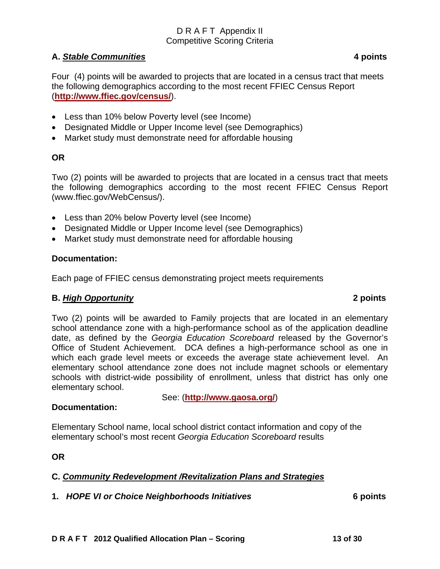## **A.** *Stable Communities* **4 points**

Four (4) points will be awarded to projects that are located in a census tract that meets the following demographics according to the most recent FFIEC Census Report (**http://www.ffiec.gov/census/**).

- Less than 10% below Poverty level (see Income)
- Designated Middle or Upper Income level (see Demographics)
- Market study must demonstrate need for affordable housing

# **OR**

Two (2) points will be awarded to projects that are located in a census tract that meets the following demographics according to the most recent FFIEC Census Report (www.ffiec.gov/WebCensus/).

- Less than 20% below Poverty level (see Income)
- Designated Middle or Upper Income level (see Demographics)
- Market study must demonstrate need for affordable housing

# **Documentation:**

Each page of FFIEC census demonstrating project meets requirements

## **B.** *High Opportunity* **2 points**

Two (2) points will be awarded to Family projects that are located in an elementary school attendance zone with a high-performance school as of the application deadline date, as defined by the *Georgia Education Scoreboard* released by the Governor's Office of Student Achievement. DCA defines a high-performance school as one in which each grade level meets or exceeds the average state achievement level. An elementary school attendance zone does not include magnet schools or elementary schools with district-wide possibility of enrollment, unless that district has only one elementary school.

See: (**http://www.gaosa.org/**)

## **Documentation:**

Elementary School name, local school district contact information and copy of the elementary school's most recent *Georgia Education Scoreboard* results

**OR** 

# **C.** *Community Redevelopment /Revitalization Plans and Strategies*

## **1.** *HOPE VI or Choice Neighborhoods Initiatives* **6 points**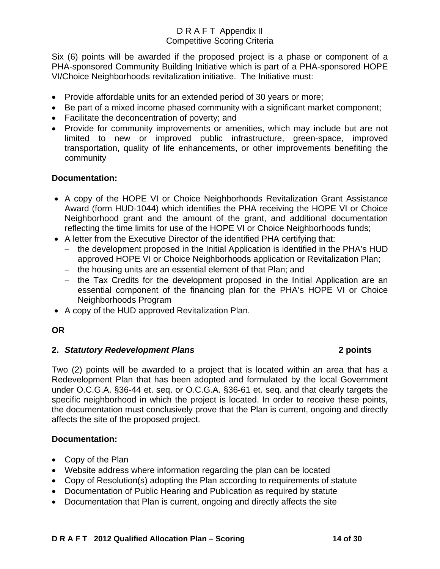Six (6) points will be awarded if the proposed project is a phase or component of a PHA-sponsored Community Building Initiative which is part of a PHA-sponsored HOPE VI/Choice Neighborhoods revitalization initiative. The Initiative must:

- Provide affordable units for an extended period of 30 years or more;
- Be part of a mixed income phased community with a significant market component;
- Facilitate the deconcentration of poverty; and
- Provide for community improvements or amenities, which may include but are not limited to new or improved public infrastructure, green-space, improved transportation, quality of life enhancements, or other improvements benefiting the community

## **Documentation:**

- A copy of the HOPE VI or Choice Neighborhoods Revitalization Grant Assistance Award (form HUD-1044) which identifies the PHA receiving the HOPE VI or Choice Neighborhood grant and the amount of the grant, and additional documentation reflecting the time limits for use of the HOPE VI or Choice Neighborhoods funds;
- A letter from the Executive Director of the identified PHA certifying that:
	- − the development proposed in the Initial Application is identified in the PHA's HUD approved HOPE VI or Choice Neighborhoods application or Revitalization Plan;
	- − the housing units are an essential element of that Plan; and
	- − the Tax Credits for the development proposed in the Initial Application are an essential component of the financing plan for the PHA's HOPE VI or Choice Neighborhoods Program
- A copy of the HUD approved Revitalization Plan.

## **OR**

## **2.** *Statutory Redevelopment Plans* **2 points**

Two (2) points will be awarded to a project that is located within an area that has a Redevelopment Plan that has been adopted and formulated by the local Government under O.C.G.A. §36-44 et. seq. or O.C.G.A. §36-61 et. seq. and that clearly targets the specific neighborhood in which the project is located. In order to receive these points, the documentation must conclusively prove that the Plan is current, ongoing and directly affects the site of the proposed project.

## **Documentation:**

- Copy of the Plan
- Website address where information regarding the plan can be located
- Copy of Resolution(s) adopting the Plan according to requirements of statute
- Documentation of Public Hearing and Publication as required by statute
- Documentation that Plan is current, ongoing and directly affects the site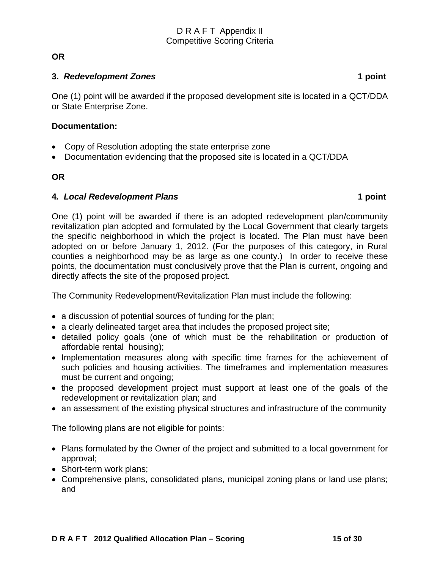## **OR**

#### **3.** *Redevelopment Zones* **1 point**

One (1) point will be awarded if the proposed development site is located in a QCT/DDA or State Enterprise Zone.

#### **Documentation:**

- Copy of Resolution adopting the state enterprise zone
- Documentation evidencing that the proposed site is located in a QCT/DDA

## **OR**

## **4***. Local Redevelopment Plans* **1 point**

One (1) point will be awarded if there is an adopted redevelopment plan/community revitalization plan adopted and formulated by the Local Government that clearly targets the specific neighborhood in which the project is located. The Plan must have been adopted on or before January 1, 2012. (For the purposes of this category, in Rural counties a neighborhood may be as large as one county.) In order to receive these points, the documentation must conclusively prove that the Plan is current, ongoing and directly affects the site of the proposed project.

The Community Redevelopment/Revitalization Plan must include the following:

- a discussion of potential sources of funding for the plan;
- a clearly delineated target area that includes the proposed project site;
- detailed policy goals (one of which must be the rehabilitation or production of affordable rental housing);
- Implementation measures along with specific time frames for the achievement of such policies and housing activities. The timeframes and implementation measures must be current and ongoing;
- the proposed development project must support at least one of the goals of the redevelopment or revitalization plan; and
- an assessment of the existing physical structures and infrastructure of the community

The following plans are not eligible for points:

- Plans formulated by the Owner of the project and submitted to a local government for approval;
- Short-term work plans;
- Comprehensive plans, consolidated plans, municipal zoning plans or land use plans; and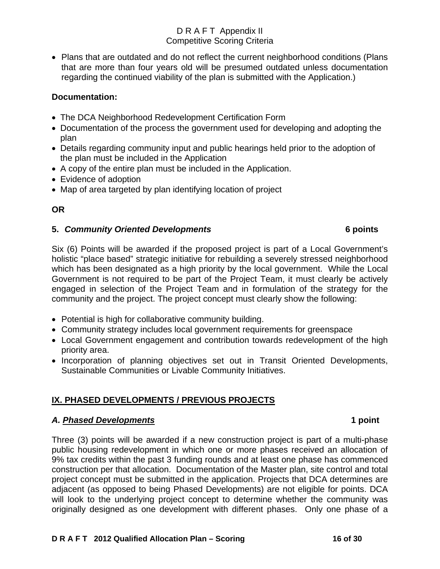• Plans that are outdated and do not reflect the current neighborhood conditions (Plans that are more than four years old will be presumed outdated unless documentation regarding the continued viability of the plan is submitted with the Application.)

## **Documentation:**

- The DCA Neighborhood Redevelopment Certification Form
- Documentation of the process the government used for developing and adopting the plan
- Details regarding community input and public hearings held prior to the adoption of the plan must be included in the Application
- A copy of the entire plan must be included in the Application.
- Evidence of adoption
- Map of area targeted by plan identifying location of project

## **OR**

## **5.** *Community Oriented Developments* **6 points**

Six (6) Points will be awarded if the proposed project is part of a Local Government's holistic "place based" strategic initiative for rebuilding a severely stressed neighborhood which has been designated as a high priority by the local government. While the Local Government is not required to be part of the Project Team, it must clearly be actively engaged in selection of the Project Team and in formulation of the strategy for the community and the project. The project concept must clearly show the following:

- Potential is high for collaborative community building.
- Community strategy includes local government requirements for greenspace
- Local Government engagement and contribution towards redevelopment of the high priority area.
- Incorporation of planning objectives set out in Transit Oriented Developments, Sustainable Communities or Livable Community Initiatives.

# **IX. PHASED DEVELOPMENTS / PREVIOUS PROJECTS**

## *A. Phased Developments* **1 point**

Three (3) points will be awarded if a new construction project is part of a multi-phase public housing redevelopment in which one or more phases received an allocation of 9% tax credits within the past 3 funding rounds and at least one phase has commenced construction per that allocation. Documentation of the Master plan, site control and total project concept must be submitted in the application. Projects that DCA determines are adjacent (as opposed to being Phased Developments) are not eligible for points. DCA will look to the underlying project concept to determine whether the community was originally designed as one development with different phases. Only one phase of a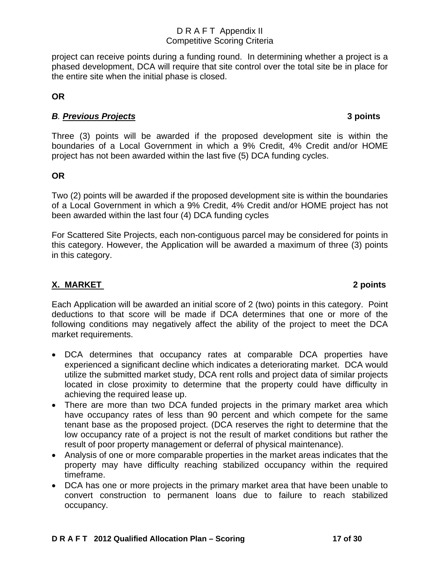project can receive points during a funding round. In determining whether a project is a phased development, DCA will require that site control over the total site be in place for the entire site when the initial phase is closed.

## **OR**

# *B. Previous Projects* **3 points**

Three (3) points will be awarded if the proposed development site is within the boundaries of a Local Government in which a 9% Credit, 4% Credit and/or HOME project has not been awarded within the last five (5) DCA funding cycles.

# **OR**

Two (2) points will be awarded if the proposed development site is within the boundaries of a Local Government in which a 9% Credit, 4% Credit and/or HOME project has not been awarded within the last four (4) DCA funding cycles

For Scattered Site Projects, each non-contiguous parcel may be considered for points in this category. However, the Application will be awarded a maximum of three (3) points in this category.

# **X. MARKET 2 points**

Each Application will be awarded an initial score of 2 (two) points in this category. Point deductions to that score will be made if DCA determines that one or more of the following conditions may negatively affect the ability of the project to meet the DCA market requirements.

- DCA determines that occupancy rates at comparable DCA properties have experienced a significant decline which indicates a deteriorating market. DCA would utilize the submitted market study, DCA rent rolls and project data of similar projects located in close proximity to determine that the property could have difficulty in achieving the required lease up.
- There are more than two DCA funded projects in the primary market area which have occupancy rates of less than 90 percent and which compete for the same tenant base as the proposed project. (DCA reserves the right to determine that the low occupancy rate of a project is not the result of market conditions but rather the result of poor property management or deferral of physical maintenance).
- Analysis of one or more comparable properties in the market areas indicates that the property may have difficulty reaching stabilized occupancy within the required timeframe.
- DCA has one or more projects in the primary market area that have been unable to convert construction to permanent loans due to failure to reach stabilized occupancy.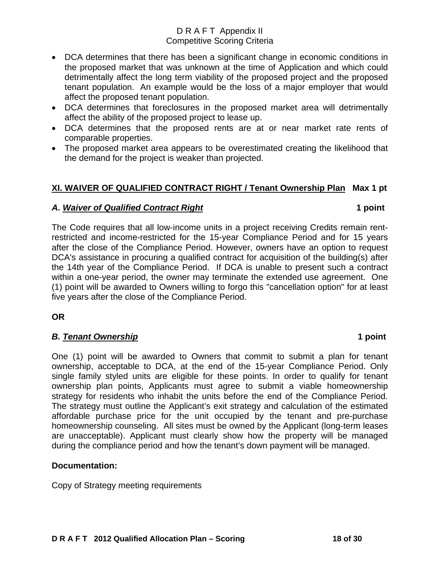- DCA determines that there has been a significant change in economic conditions in the proposed market that was unknown at the time of Application and which could detrimentally affect the long term viability of the proposed project and the proposed tenant population. An example would be the loss of a major employer that would affect the proposed tenant population.
- DCA determines that foreclosures in the proposed market area will detrimentally affect the ability of the proposed project to lease up.
- DCA determines that the proposed rents are at or near market rate rents of comparable properties.
- The proposed market area appears to be overestimated creating the likelihood that the demand for the project is weaker than projected.

# **XI. WAIVER OF QUALIFIED CONTRACT RIGHT / Tenant Ownership Plan Max 1 pt**

## *A. Waiver of Qualified Contract Right* **1 point**

The Code requires that all low-income units in a project receiving Credits remain rentrestricted and income-restricted for the 15-year Compliance Period and for 15 years after the close of the Compliance Period. However, owners have an option to request DCA's assistance in procuring a qualified contract for acquisition of the building(s) after the 14th year of the Compliance Period. If DCA is unable to present such a contract within a one-year period, the owner may terminate the extended use agreement. One (1) point will be awarded to Owners willing to forgo this "cancellation option" for at least five years after the close of the Compliance Period.

**OR** 

## *B. Tenant Ownership* **1 point**

One (1) point will be awarded to Owners that commit to submit a plan for tenant ownership, acceptable to DCA, at the end of the 15-year Compliance Period. Only single family styled units are eligible for these points. In order to qualify for tenant ownership plan points, Applicants must agree to submit a viable homeownership strategy for residents who inhabit the units before the end of the Compliance Period. The strategy must outline the Applicant's exit strategy and calculation of the estimated affordable purchase price for the unit occupied by the tenant and pre-purchase homeownership counseling. All sites must be owned by the Applicant (long-term leases are unacceptable). Applicant must clearly show how the property will be managed during the compliance period and how the tenant's down payment will be managed.

## **Documentation:**

Copy of Strategy meeting requirements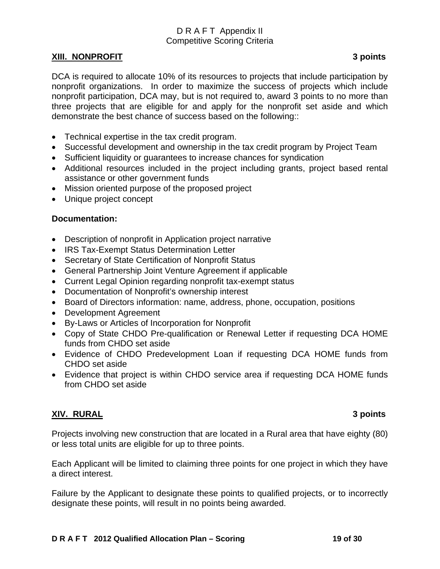#### **XIII. NONPROFIT 3 points**

DCA is required to allocate 10% of its resources to projects that include participation by nonprofit organizations. In order to maximize the success of projects which include nonprofit participation, DCA may, but is not required to, award 3 points to no more than three projects that are eligible for and apply for the nonprofit set aside and which demonstrate the best chance of success based on the following::

- Technical expertise in the tax credit program.
- Successful development and ownership in the tax credit program by Project Team
- Sufficient liquidity or guarantees to increase chances for syndication
- Additional resources included in the project including grants, project based rental assistance or other government funds
- Mission oriented purpose of the proposed project
- Unique project concept

## **Documentation:**

- Description of nonprofit in Application project narrative
- IRS Tax-Exempt Status Determination Letter
- Secretary of State Certification of Nonprofit Status
- General Partnership Joint Venture Agreement if applicable
- Current Legal Opinion regarding nonprofit tax-exempt status
- Documentation of Nonprofit's ownership interest
- Board of Directors information: name, address, phone, occupation, positions
- Development Agreement
- By-Laws or Articles of Incorporation for Nonprofit
- Copy of State CHDO Pre-qualification or Renewal Letter if requesting DCA HOME funds from CHDO set aside
- Evidence of CHDO Predevelopment Loan if requesting DCA HOME funds from CHDO set aside
- Evidence that project is within CHDO service area if requesting DCA HOME funds from CHDO set aside

## **XIV. RURAL 3 points**

Projects involving new construction that are located in a Rural area that have eighty (80) or less total units are eligible for up to three points.

Each Applicant will be limited to claiming three points for one project in which they have a direct interest.

Failure by the Applicant to designate these points to qualified projects, or to incorrectly designate these points, will result in no points being awarded.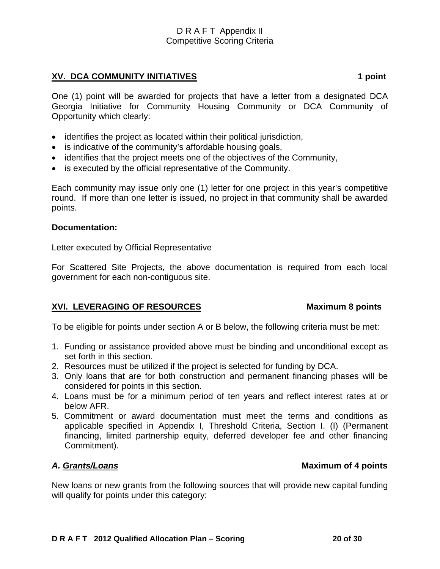## **XV. DCA COMMUNITY INITIATIVES** 1 point 1 point

One (1) point will be awarded for projects that have a letter from a designated DCA Georgia Initiative for Community Housing Community or DCA Community of Opportunity which clearly:

- identifies the project as located within their political jurisdiction,
- is indicative of the community's affordable housing goals,
- identifies that the project meets one of the objectives of the Community,
- is executed by the official representative of the Community.

Each community may issue only one (1) letter for one project in this year's competitive round. If more than one letter is issued, no project in that community shall be awarded points.

#### **Documentation:**

Letter executed by Official Representative

For Scattered Site Projects, the above documentation is required from each local government for each non-contiguous site.

## **XVI. LEVERAGING OF RESOURCES** Maximum 8 points

To be eligible for points under section A or B below, the following criteria must be met:

- 1. Funding or assistance provided above must be binding and unconditional except as set forth in this section.
- 2. Resources must be utilized if the project is selected for funding by DCA.
- 3. Only loans that are for both construction and permanent financing phases will be considered for points in this section.
- 4. Loans must be for a minimum period of ten years and reflect interest rates at or below AFR.
- 5. Commitment or award documentation must meet the terms and conditions as applicable specified in Appendix I, Threshold Criteria, Section I. (I) (Permanent financing, limited partnership equity, deferred developer fee and other financing Commitment).

## A. Grants/Loans

New loans or new grants from the following sources that will provide new capital funding will qualify for points under this category: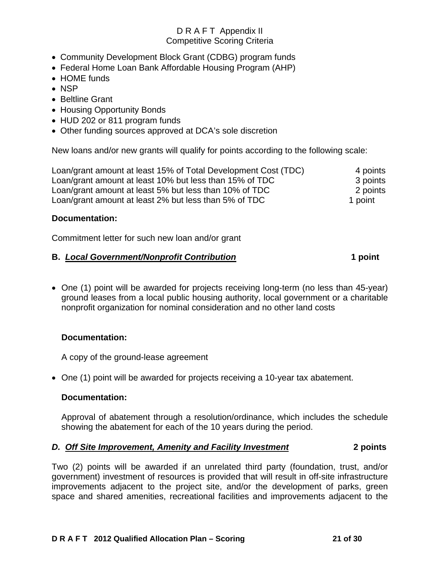- Community Development Block Grant (CDBG) program funds
- Federal Home Loan Bank Affordable Housing Program (AHP)
- HOME funds
- NSP
- Beltline Grant
- Housing Opportunity Bonds
- HUD 202 or 811 program funds
- Other funding sources approved at DCA's sole discretion

New loans and/or new grants will qualify for points according to the following scale:

Loan/grant amount at least 15% of Total Development Cost (TDC) 4 points Loan/grant amount at least 10% but less than 15% of TDC 3 points Loan/grant amount at least 5% but less than 10% of TDC 2 points Loan/grant amount at least 2% but less than 5% of TDC 1 point

## **Documentation:**

Commitment letter for such new loan and/or grant

## **B.** *Local Government/Nonprofit Contribution* **1 point**

• One (1) point will be awarded for projects receiving long-term (no less than 45-year) ground leases from a local public housing authority, local government or a charitable nonprofit organization for nominal consideration and no other land costs

## **Documentation:**

A copy of the ground-lease agreement

• One (1) point will be awarded for projects receiving a 10-year tax abatement.

## **Documentation:**

Approval of abatement through a resolution/ordinance, which includes the schedule showing the abatement for each of the 10 years during the period.

## *D. Off Site Improvement, Amenity and Facility Investment* **2 points**

Two (2) points will be awarded if an unrelated third party (foundation, trust, and/or government) investment of resources is provided that will result in off-site infrastructure improvements adjacent to the project site, and/or the development of parks, green space and shared amenities, recreational facilities and improvements adjacent to the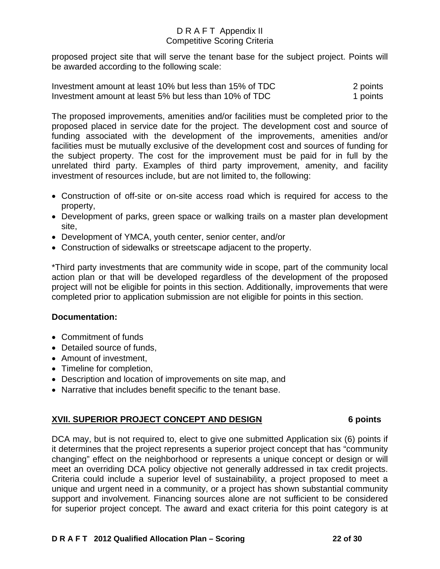proposed project site that will serve the tenant base for the subject project. Points will be awarded according to the following scale:

| Investment amount at least 10% but less than 15% of TDC | 2 points |
|---------------------------------------------------------|----------|
| Investment amount at least 5% but less than 10% of TDC  | 1 points |

The proposed improvements, amenities and/or facilities must be completed prior to the proposed placed in service date for the project. The development cost and source of funding associated with the development of the improvements, amenities and/or facilities must be mutually exclusive of the development cost and sources of funding for the subject property. The cost for the improvement must be paid for in full by the unrelated third party. Examples of third party improvement, amenity, and facility investment of resources include, but are not limited to, the following:

- Construction of off-site or on-site access road which is required for access to the property,
- Development of parks, green space or walking trails on a master plan development site,
- Development of YMCA, youth center, senior center, and/or
- Construction of sidewalks or streetscape adjacent to the property.

\*Third party investments that are community wide in scope, part of the community local action plan or that will be developed regardless of the development of the proposed project will not be eligible for points in this section. Additionally, improvements that were completed prior to application submission are not eligible for points in this section.

## **Documentation:**

- Commitment of funds
- Detailed source of funds,
- Amount of investment,
- Timeline for completion,
- Description and location of improvements on site map, and
- Narrative that includes benefit specific to the tenant base.

## **XVII. SUPERIOR PROJECT CONCEPT AND DESIGN 6 points**

DCA may, but is not required to, elect to give one submitted Application six (6) points if it determines that the project represents a superior project concept that has "community changing" effect on the neighborhood or represents a unique concept or design or will meet an overriding DCA policy objective not generally addressed in tax credit projects. Criteria could include a superior level of sustainability, a project proposed to meet a unique and urgent need in a community, or a project has shown substantial community support and involvement. Financing sources alone are not sufficient to be considered for superior project concept. The award and exact criteria for this point category is at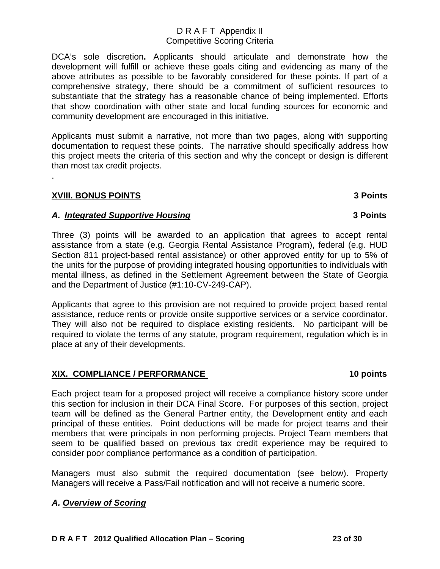DCA's sole discretion**.** Applicants should articulate and demonstrate how the development will fulfill or achieve these goals citing and evidencing as many of the above attributes as possible to be favorably considered for these points. If part of a comprehensive strategy, there should be a commitment of sufficient resources to substantiate that the strategy has a reasonable chance of being implemented. Efforts that show coordination with other state and local funding sources for economic and community development are encouraged in this initiative.

Applicants must submit a narrative, not more than two pages, along with supporting documentation to request these points. The narrative should specifically address how this project meets the criteria of this section and why the concept or design is different than most tax credit projects.

## **XVIII. BONUS POINTS 3 Points**

.

## *A. Integrated Supportive Housing* **3 Points**

Three (3) points will be awarded to an application that agrees to accept rental assistance from a state (e.g. Georgia Rental Assistance Program), federal (e.g. HUD Section 811 project-based rental assistance) or other approved entity for up to 5% of the units for the purpose of providing integrated housing opportunities to individuals with mental illness, as defined in the Settlement Agreement between the State of Georgia and the Department of Justice (#1:10-CV-249-CAP).

Applicants that agree to this provision are not required to provide project based rental assistance, reduce rents or provide onsite supportive services or a service coordinator. They will also not be required to displace existing residents. No participant will be required to violate the terms of any statute, program requirement, regulation which is in place at any of their developments.

## XIX. COMPLIANCE / PERFORMANCE 10 points **10 points**

Each project team for a proposed project will receive a compliance history score under this section for inclusion in their DCA Final Score. For purposes of this section, project team will be defined as the General Partner entity, the Development entity and each principal of these entities. Point deductions will be made for project teams and their members that were principals in non performing projects. Project Team members that seem to be qualified based on previous tax credit experience may be required to consider poor compliance performance as a condition of participation.

Managers must also submit the required documentation (see below). Property Managers will receive a Pass/Fail notification and will not receive a numeric score.

## *A. Overview of Scoring*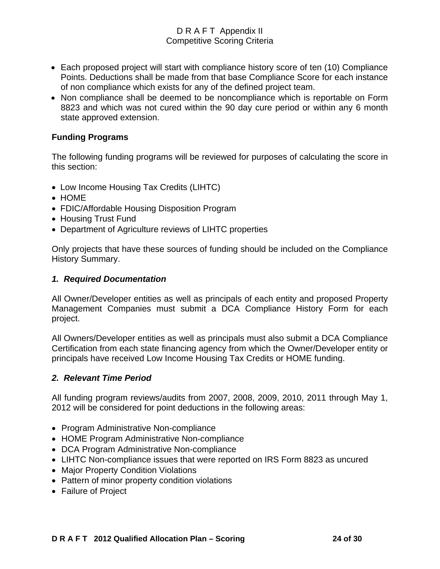- Each proposed project will start with compliance history score of ten (10) Compliance Points. Deductions shall be made from that base Compliance Score for each instance of non compliance which exists for any of the defined project team.
- Non compliance shall be deemed to be noncompliance which is reportable on Form 8823 and which was not cured within the 90 day cure period or within any 6 month state approved extension.

## **Funding Programs**

The following funding programs will be reviewed for purposes of calculating the score in this section:

- Low Income Housing Tax Credits (LIHTC)
- HOME
- FDIC/Affordable Housing Disposition Program
- Housing Trust Fund
- Department of Agriculture reviews of LIHTC properties

Only projects that have these sources of funding should be included on the Compliance History Summary.

#### *1. Required Documentation*

All Owner/Developer entities as well as principals of each entity and proposed Property Management Companies must submit a DCA Compliance History Form for each project.

All Owners/Developer entities as well as principals must also submit a DCA Compliance Certification from each state financing agency from which the Owner/Developer entity or principals have received Low Income Housing Tax Credits or HOME funding.

## *2. Relevant Time Period*

All funding program reviews/audits from 2007, 2008, 2009, 2010, 2011 through May 1, 2012 will be considered for point deductions in the following areas:

- Program Administrative Non-compliance
- HOME Program Administrative Non-compliance
- DCA Program Administrative Non-compliance
- LIHTC Non-compliance issues that were reported on IRS Form 8823 as uncured
- Major Property Condition Violations
- Pattern of minor property condition violations
- Failure of Project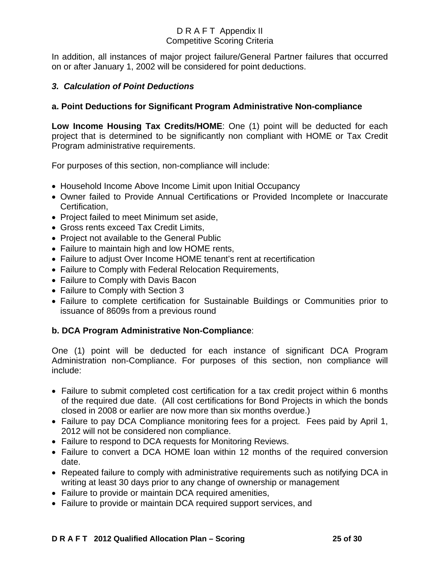In addition, all instances of major project failure/General Partner failures that occurred on or after January 1, 2002 will be considered for point deductions.

## *3. Calculation of Point Deductions*

## **a. Point Deductions for Significant Program Administrative Non-compliance**

**Low Income Housing Tax Credits/HOME**: One (1) point will be deducted for each project that is determined to be significantly non compliant with HOME or Tax Credit Program administrative requirements.

For purposes of this section, non-compliance will include:

- Household Income Above Income Limit upon Initial Occupancy
- Owner failed to Provide Annual Certifications or Provided Incomplete or Inaccurate Certification,
- Project failed to meet Minimum set aside,
- Gross rents exceed Tax Credit Limits,
- Project not available to the General Public
- Failure to maintain high and low HOME rents,
- Failure to adjust Over Income HOME tenant's rent at recertification
- Failure to Comply with Federal Relocation Requirements,
- Failure to Comply with Davis Bacon
- Failure to Comply with Section 3
- Failure to complete certification for Sustainable Buildings or Communities prior to issuance of 8609s from a previous round

## **b. DCA Program Administrative Non-Compliance**:

One (1) point will be deducted for each instance of significant DCA Program Administration non-Compliance. For purposes of this section, non compliance will include:

- Failure to submit completed cost certification for a tax credit project within 6 months of the required due date. (All cost certifications for Bond Projects in which the bonds closed in 2008 or earlier are now more than six months overdue.)
- Failure to pay DCA Compliance monitoring fees for a project. Fees paid by April 1, 2012 will not be considered non compliance.
- Failure to respond to DCA requests for Monitoring Reviews.
- Failure to convert a DCA HOME loan within 12 months of the required conversion date.
- Repeated failure to comply with administrative requirements such as notifying DCA in writing at least 30 days prior to any change of ownership or management
- Failure to provide or maintain DCA required amenities,
- Failure to provide or maintain DCA required support services, and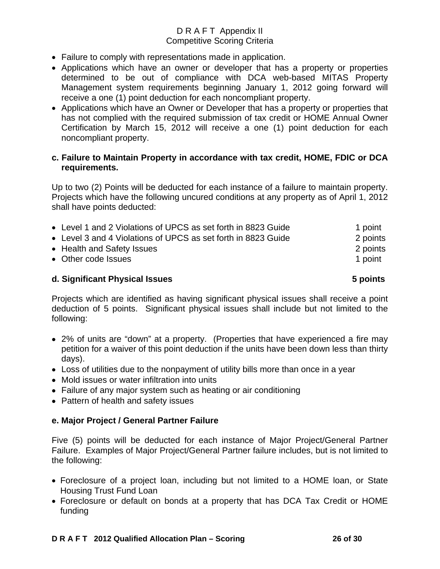- Failure to comply with representations made in application.
- Applications which have an owner or developer that has a property or properties determined to be out of compliance with DCA web-based MITAS Property Management system requirements beginning January 1, 2012 going forward will receive a one (1) point deduction for each noncompliant property.
- Applications which have an Owner or Developer that has a property or properties that has not complied with the required submission of tax credit or HOME Annual Owner Certification by March 15, 2012 will receive a one (1) point deduction for each noncompliant property.

## **c. Failure to Maintain Property in accordance with tax credit, HOME, FDIC or DCA requirements.**

Up to two (2) Points will be deducted for each instance of a failure to maintain property. Projects which have the following uncured conditions at any property as of April 1, 2012 shall have points deducted:

| • Level 1 and 2 Violations of UPCS as set forth in 8823 Guide | 1 point  |
|---------------------------------------------------------------|----------|
| • Level 3 and 4 Violations of UPCS as set forth in 8823 Guide | 2 points |
| • Health and Safety Issues                                    | 2 points |
| • Other code Issues                                           | 1 point  |
|                                                               |          |

#### **d. Significant Physical Issues 5 points**

Projects which are identified as having significant physical issues shall receive a point deduction of 5 points. Significant physical issues shall include but not limited to the following:

- 2% of units are "down" at a property. (Properties that have experienced a fire may petition for a waiver of this point deduction if the units have been down less than thirty days).
- Loss of utilities due to the nonpayment of utility bills more than once in a year
- Mold issues or water infiltration into units
- Failure of any major system such as heating or air conditioning
- Pattern of health and safety issues

## **e. Major Project / General Partner Failure**

Five (5) points will be deducted for each instance of Major Project/General Partner Failure. Examples of Major Project/General Partner failure includes, but is not limited to the following:

- Foreclosure of a project loan, including but not limited to a HOME loan, or State Housing Trust Fund Loan
- Foreclosure or default on bonds at a property that has DCA Tax Credit or HOME funding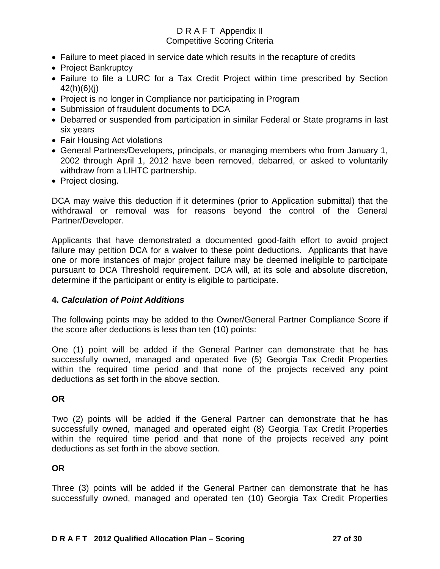- Failure to meet placed in service date which results in the recapture of credits
- Project Bankruptcy
- Failure to file a LURC for a Tax Credit Project within time prescribed by Section 42(h)(6)(j)
- Project is no longer in Compliance nor participating in Program
- Submission of fraudulent documents to DCA
- Debarred or suspended from participation in similar Federal or State programs in last six years
- Fair Housing Act violations
- General Partners/Developers, principals, or managing members who from January 1, 2002 through April 1, 2012 have been removed, debarred, or asked to voluntarily withdraw from a LIHTC partnership.
- Project closing.

DCA may waive this deduction if it determines (prior to Application submittal) that the withdrawal or removal was for reasons beyond the control of the General Partner/Developer.

Applicants that have demonstrated a documented good-faith effort to avoid project failure may petition DCA for a waiver to these point deductions. Applicants that have one or more instances of major project failure may be deemed ineligible to participate pursuant to DCA Threshold requirement. DCA will, at its sole and absolute discretion, determine if the participant or entity is eligible to participate.

## **4.** *Calculation of Point Additions*

The following points may be added to the Owner/General Partner Compliance Score if the score after deductions is less than ten (10) points:

One (1) point will be added if the General Partner can demonstrate that he has successfully owned, managed and operated five (5) Georgia Tax Credit Properties within the required time period and that none of the projects received any point deductions as set forth in the above section.

## **OR**

Two (2) points will be added if the General Partner can demonstrate that he has successfully owned, managed and operated eight (8) Georgia Tax Credit Properties within the required time period and that none of the projects received any point deductions as set forth in the above section.

## **OR**

Three (3) points will be added if the General Partner can demonstrate that he has successfully owned, managed and operated ten (10) Georgia Tax Credit Properties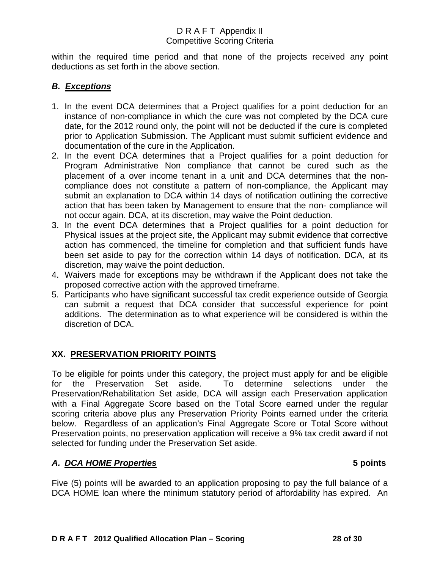within the required time period and that none of the projects received any point deductions as set forth in the above section.

## *B. Exceptions*

- 1. In the event DCA determines that a Project qualifies for a point deduction for an instance of non-compliance in which the cure was not completed by the DCA cure date, for the 2012 round only, the point will not be deducted if the cure is completed prior to Application Submission. The Applicant must submit sufficient evidence and documentation of the cure in the Application.
- 2. In the event DCA determines that a Project qualifies for a point deduction for Program Administrative Non compliance that cannot be cured such as the placement of a over income tenant in a unit and DCA determines that the noncompliance does not constitute a pattern of non-compliance, the Applicant may submit an explanation to DCA within 14 days of notification outlining the corrective action that has been taken by Management to ensure that the non- compliance will not occur again. DCA, at its discretion, may waive the Point deduction.
- 3. In the event DCA determines that a Project qualifies for a point deduction for Physical issues at the project site, the Applicant may submit evidence that corrective action has commenced, the timeline for completion and that sufficient funds have been set aside to pay for the correction within 14 days of notification. DCA, at its discretion, may waive the point deduction.
- 4. Waivers made for exceptions may be withdrawn if the Applicant does not take the proposed corrective action with the approved timeframe.
- 5. Participants who have significant successful tax credit experience outside of Georgia can submit a request that DCA consider that successful experience for point additions. The determination as to what experience will be considered is within the discretion of DCA.

## **XX. PRESERVATION PRIORITY POINTS**

To be eligible for points under this category, the project must apply for and be eligible for the Preservation Set aside. To determine selections under the Preservation/Rehabilitation Set aside, DCA will assign each Preservation application with a Final Aggregate Score based on the Total Score earned under the regular scoring criteria above plus any Preservation Priority Points earned under the criteria below. Regardless of an application's Final Aggregate Score or Total Score without Preservation points, no preservation application will receive a 9% tax credit award if not selected for funding under the Preservation Set aside.

## *A. DCA HOME Properties* **5 points**

Five (5) points will be awarded to an application proposing to pay the full balance of a DCA HOME loan where the minimum statutory period of affordability has expired. An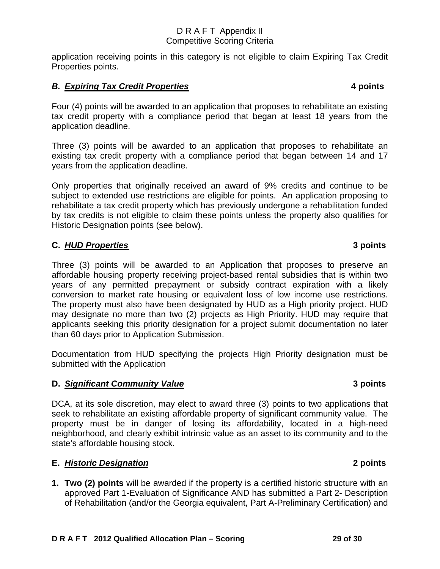application receiving points in this category is not eligible to claim Expiring Tax Credit Properties points.

## *B. Expiring Tax Credit Properties* **4 points**

Four (4) points will be awarded to an application that proposes to rehabilitate an existing tax credit property with a compliance period that began at least 18 years from the application deadline.

Three (3) points will be awarded to an application that proposes to rehabilitate an existing tax credit property with a compliance period that began between 14 and 17 years from the application deadline.

Only properties that originally received an award of 9% credits and continue to be subject to extended use restrictions are eligible for points. An application proposing to rehabilitate a tax credit property which has previously undergone a rehabilitation funded by tax credits is not eligible to claim these points unless the property also qualifies for Historic Designation points (see below).

# **C.** *HUD Properties* **3 points**

Three (3) points will be awarded to an Application that proposes to preserve an affordable housing property receiving project-based rental subsidies that is within two years of any permitted prepayment or subsidy contract expiration with a likely conversion to market rate housing or equivalent loss of low income use restrictions. The property must also have been designated by HUD as a High priority project. HUD may designate no more than two (2) projects as High Priority. HUD may require that applicants seeking this priority designation for a project submit documentation no later than 60 days prior to Application Submission.

Documentation from HUD specifying the projects High Priority designation must be submitted with the Application

# **D. Significant Community Value 3 points 3 points**

DCA, at its sole discretion, may elect to award three (3) points to two applications that seek to rehabilitate an existing affordable property of significant community value. The property must be in danger of losing its affordability, located in a high-need neighborhood, and clearly exhibit intrinsic value as an asset to its community and to the state's affordable housing stock.

# **E.** *Historic Designation* **2 points**

**1. Two (2) points** will be awarded if the property is a certified historic structure with an approved Part 1-Evaluation of Significance AND has submitted a Part 2- Description of Rehabilitation (and/or the Georgia equivalent, Part A-Preliminary Certification) and